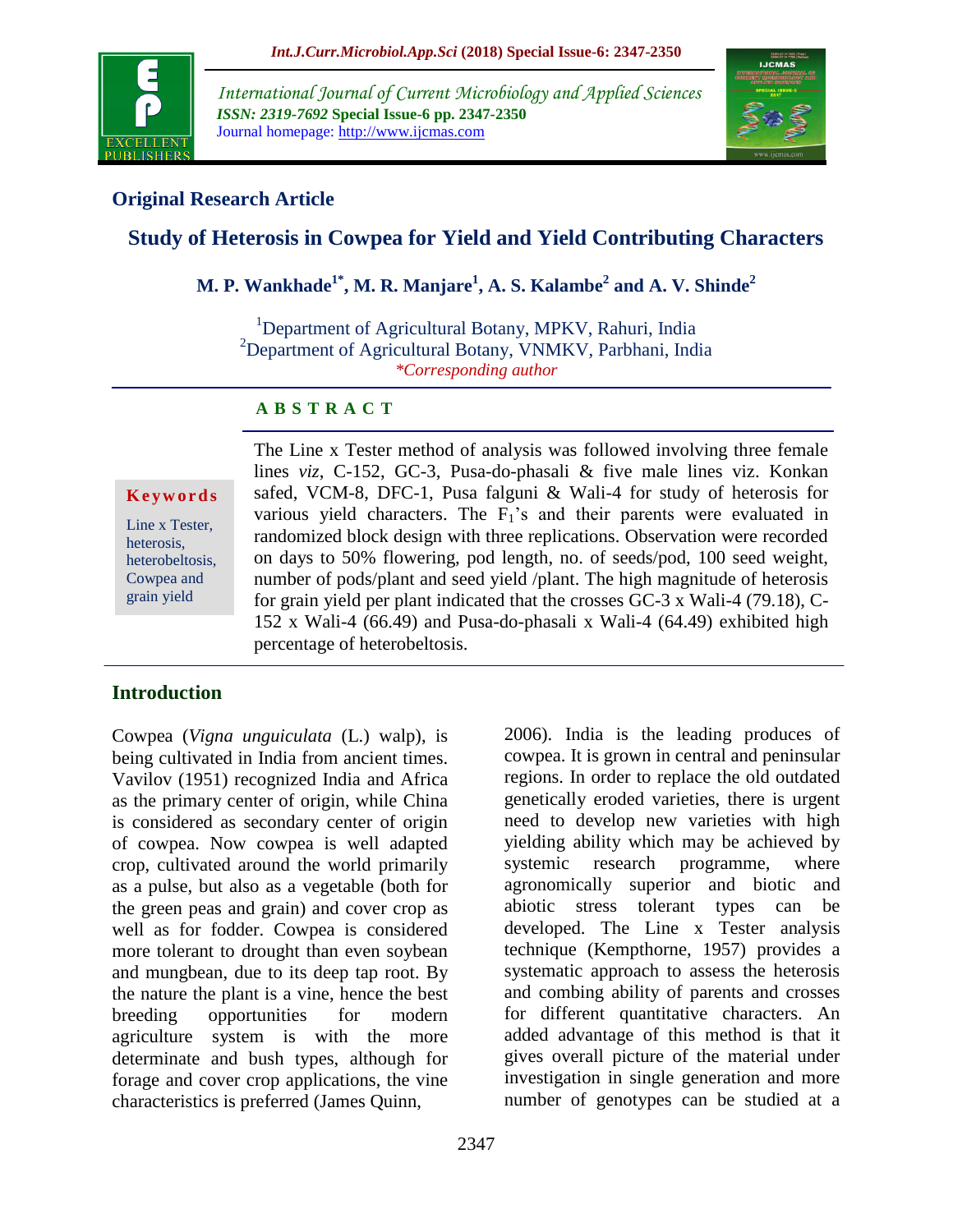

*International Journal of Current Microbiology and Applied Sciences ISSN: 2319-7692* **Special Issue-6 pp. 2347-2350** Journal homepage: http://www.ijcmas.com



# **Original Research Article**

# **Study of Heterosis in Cowpea for Yield and Yield Contributing Characters**

# **M. P. Wankhade1\* , M. R. Manjare<sup>1</sup> , A. S. Kalambe<sup>2</sup> and A. V. Shinde<sup>2</sup>**

<sup>1</sup>Department of Agricultural Botany, MPKV, Rahuri, India <sup>2</sup>Department of Agricultural Botany, VNMKV, Parbhani, India *\*Corresponding author*

### **A B S T R A C T**

#### **K e y w o r d s**

Line x Tester, heterosis, heterobeltosis, Cowpea and grain yield

The Line x Tester method of analysis was followed involving three female lines *viz*, C-152, GC-3, Pusa-do-phasali & five male lines viz. Konkan safed, VCM-8, DFC-1, Pusa falguni & Wali-4 for study of heterosis for various yield characters. The  $F_1$ 's and their parents were evaluated in randomized block design with three replications. Observation were recorded on days to 50% flowering, pod length, no. of seeds/pod, 100 seed weight, number of pods/plant and seed yield /plant. The high magnitude of heterosis for grain yield per plant indicated that the crosses GC-3 x Wali-4 (79.18), C-152 x Wali-4 (66.49) and Pusa-do-phasali x Wali-4 (64.49) exhibited high percentage of heterobeltosis.

# **Introduction**

Cowpea (*Vigna unguiculata* (L.) walp), is being cultivated in India from ancient times. Vavilov (1951) recognized India and Africa as the primary center of origin, while China is considered as secondary center of origin of cowpea. Now cowpea is well adapted crop, cultivated around the world primarily as a pulse, but also as a vegetable (both for the green peas and grain) and cover crop as well as for fodder. Cowpea is considered more tolerant to drought than even soybean and mungbean, due to its deep tap root. By the nature the plant is a vine, hence the best breeding opportunities for modern agriculture system is with the more determinate and bush types, although for forage and cover crop applications, the vine characteristics is preferred (James Quinn,

2006). India is the leading produces of cowpea. It is grown in central and peninsular regions. In order to replace the old outdated genetically eroded varieties, there is urgent need to develop new varieties with high yielding ability which may be achieved by systemic research programme, where agronomically superior and biotic and abiotic stress tolerant types can be developed. The Line x Tester analysis technique (Kempthorne, 1957) provides a systematic approach to assess the heterosis and combing ability of parents and crosses for different quantitative characters. An added advantage of this method is that it gives overall picture of the material under investigation in single generation and more number of genotypes can be studied at a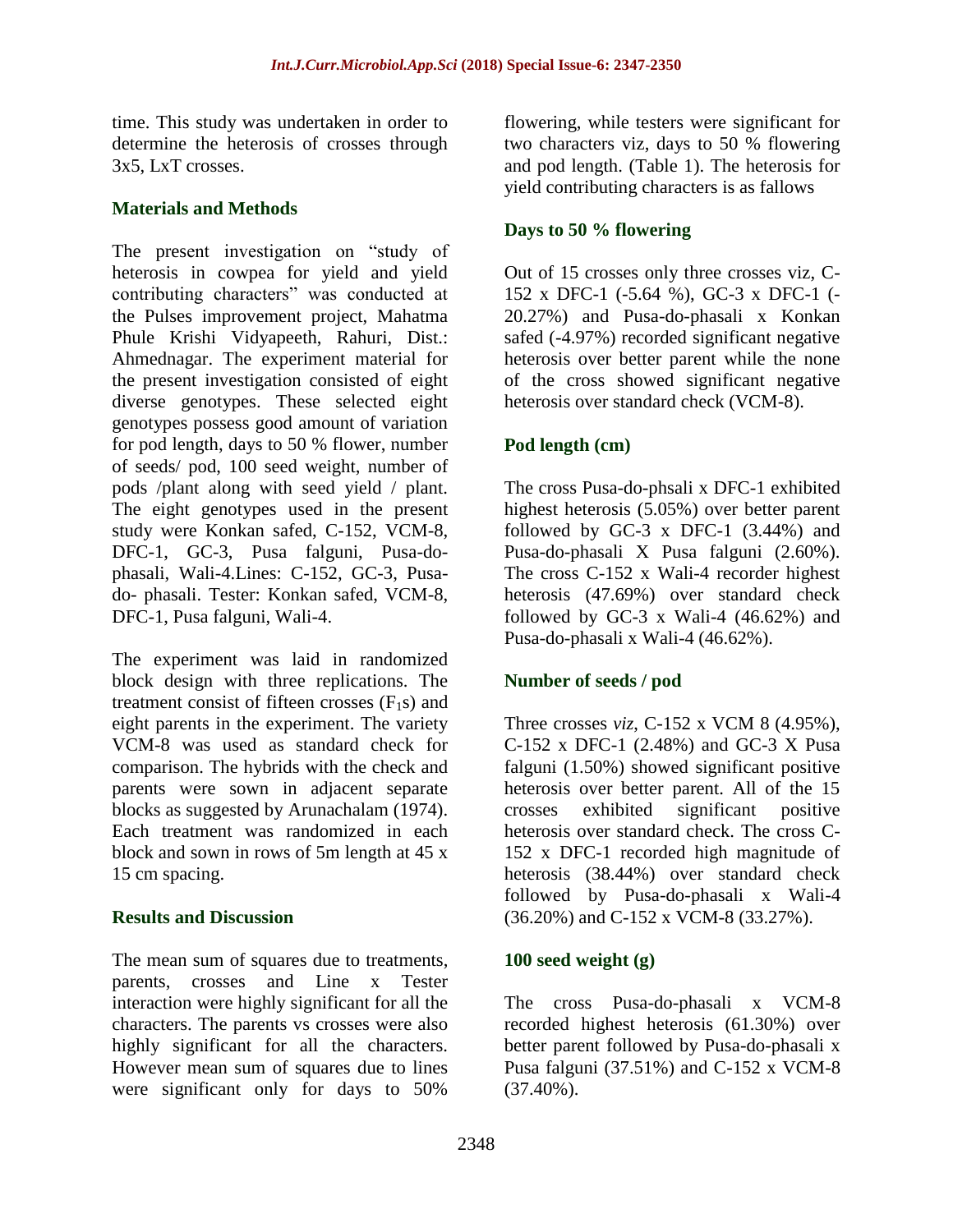time. This study was undertaken in order to determine the heterosis of crosses through 3x5, LxT crosses.

# **Materials and Methods**

The present investigation on "study of heterosis in cowpea for yield and yield contributing characters" was conducted at the Pulses improvement project, Mahatma Phule Krishi Vidyapeeth, Rahuri, Dist.: Ahmednagar. The experiment material for the present investigation consisted of eight diverse genotypes. These selected eight genotypes possess good amount of variation for pod length, days to 50 % flower, number of seeds/ pod, 100 seed weight, number of pods /plant along with seed yield / plant. The eight genotypes used in the present study were Konkan safed, C-152, VCM-8, DFC-1, GC-3, Pusa falguni, Pusa-dophasali, Wali-4.Lines: C-152, GC-3, Pusado- phasali. Tester: Konkan safed, VCM-8, DFC-1, Pusa falguni, Wali-4.

The experiment was laid in randomized block design with three replications. The treatment consist of fifteen crosses  $(F<sub>1</sub>s)$  and eight parents in the experiment. The variety VCM-8 was used as standard check for comparison. The hybrids with the check and parents were sown in adjacent separate blocks as suggested by Arunachalam (1974). Each treatment was randomized in each block and sown in rows of 5m length at 45 x 15 cm spacing.

### **Results and Discussion**

The mean sum of squares due to treatments, parents, crosses and Line x Tester interaction were highly significant for all the characters. The parents vs crosses were also highly significant for all the characters. However mean sum of squares due to lines were significant only for days to 50%

flowering, while testers were significant for two characters viz, days to 50 % flowering and pod length. (Table 1). The heterosis for yield contributing characters is as fallows

# **Days to 50 % flowering**

Out of 15 crosses only three crosses viz, C-152 x DFC-1 (-5.64 %), GC-3 x DFC-1 (- 20.27%) and Pusa-do-phasali x Konkan safed (-4.97%) recorded significant negative heterosis over better parent while the none of the cross showed significant negative heterosis over standard check (VCM-8).

# **Pod length (cm)**

The cross Pusa-do-phsali x DFC-1 exhibited highest heterosis (5.05%) over better parent followed by GC-3 x DFC-1 (3.44%) and Pusa-do-phasali X Pusa falguni (2.60%). The cross C-152 x Wali-4 recorder highest heterosis (47.69%) over standard check followed by GC-3  $x$  Wali-4 (46.62%) and Pusa-do-phasali x Wali-4 (46.62%).

### **Number of seeds / pod**

Three crosses *viz*, C-152 x VCM 8 (4.95%), C-152 x DFC-1 (2.48%) and GC-3 X Pusa falguni (1.50%) showed significant positive heterosis over better parent. All of the 15 crosses exhibited significant positive heterosis over standard check. The cross C-152 x DFC-1 recorded high magnitude of heterosis (38.44%) over standard check followed by Pusa-do-phasali x Wali-4 (36.20%) and C-152 x VCM-8 (33.27%).

### **100 seed weight (g)**

The cross Pusa-do-phasali x VCM-8 recorded highest heterosis (61.30%) over better parent followed by Pusa-do-phasali x Pusa falguni (37.51%) and C-152 x VCM-8  $(37.40\%)$ .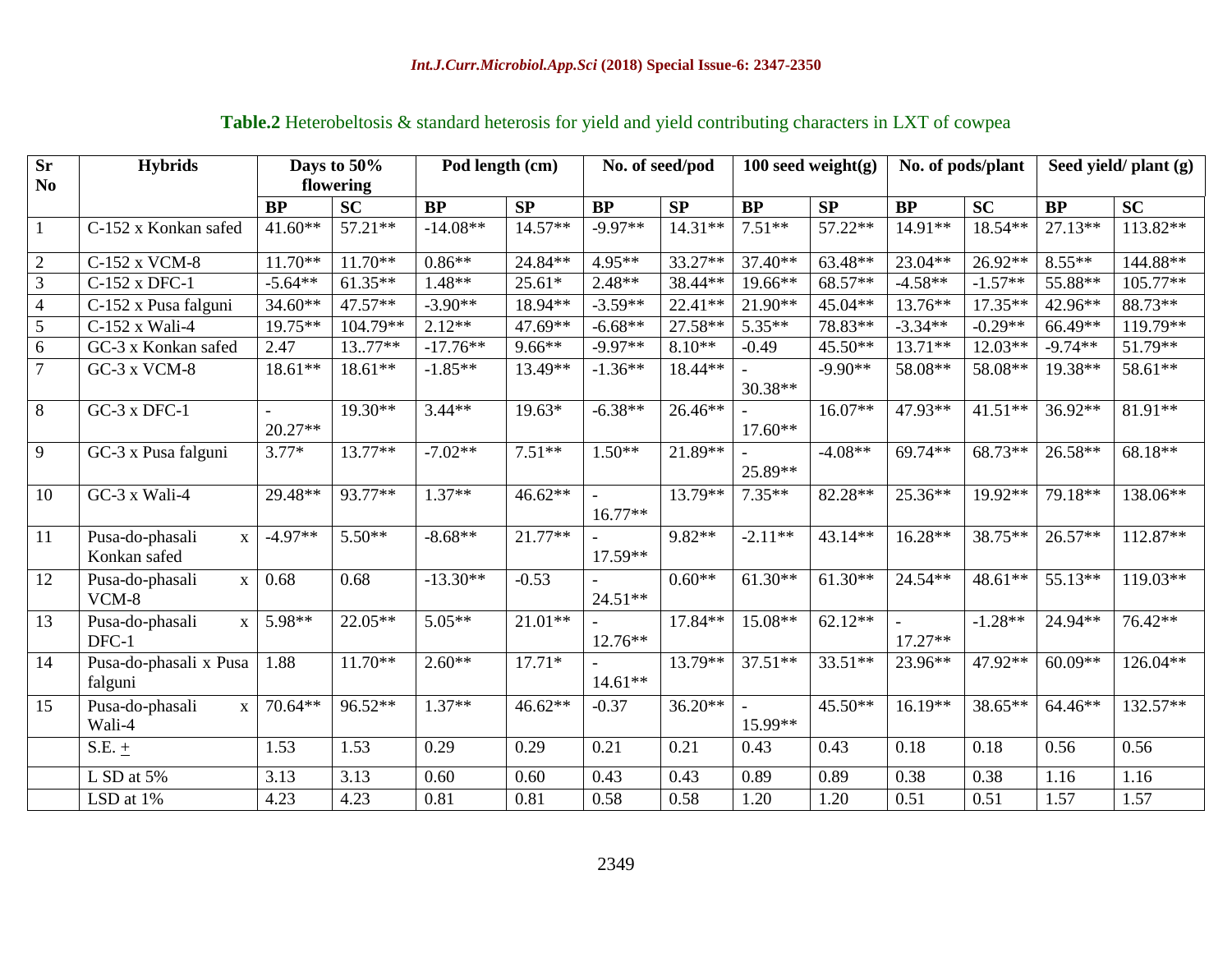| <b>Sr</b>       | <b>Hybrids</b>                                  | Days to 50% |           | Pod length (cm) |           | No. of seed/pod |           | 100 seed weight $(g)$ |           | No. of pods/plant |           | Seed yield/ plant (g) |           |
|-----------------|-------------------------------------------------|-------------|-----------|-----------------|-----------|-----------------|-----------|-----------------------|-----------|-------------------|-----------|-----------------------|-----------|
| N <sub>0</sub>  |                                                 | flowering   |           |                 |           |                 |           |                       |           |                   |           |                       |           |
|                 |                                                 | <b>BP</b>   | SC        | <b>BP</b>       | SP        | BP              | SP        | BP                    | SP        | <b>BP</b>         | <b>SC</b> | BP                    | <b>SC</b> |
| $\mathbf{1}$    | C-152 x Konkan safed                            | $41.60**$   | $57.21**$ | $-14.08**$      | $14.57**$ | $-9.97**$       | $14.31**$ | $7.51**$              | 57.22**   | 14.91**           | $18.54**$ | $27.13**$             | 113.82**  |
| $\sqrt{2}$      | C-152 x VCM-8                                   | $11.70**$   | $11.70**$ | $0.86**$        | 24.84**   | 4.95**          | 33.27**   | $37.40**$             | 63.48**   | $23.04**$         | $26.92**$ | $8.55***$             | 144.88**  |
| $\overline{3}$  | C-152 x DFC-1                                   | $-5.64**$   | $61.35**$ | $1.48**$        | $25.61*$  | $2.48**$        | 38.44**   | 19.66**               | $68.57**$ | $-4.58**$         | $-1.57**$ | 55.88**               | 105.77**  |
| $\overline{4}$  | C-152 x Pusa falguni                            | $34.60**$   | 47.57**   | $-3.90**$       | 18.94**   | $-3.59**$       | 22.41**   | 21.90**               | $45.04**$ | 13.76**           | $17.35**$ | 42.96**               | 88.73**   |
| $\overline{5}$  | C-152 x Wali-4                                  | 19.75**     | 104.79**  | $2.12**$        | 47.69**   | $-6.68**$       | 27.58**   | 5.35**                | 78.83**   | $-3.34**$         | $-0.29**$ | 66.49**               | 119.79**  |
| $\overline{6}$  | GC-3 x Konkan safed                             | 2.47        | $13.77**$ | $-17.76**$      | $9.66**$  | $-9.97**$       | $8.10**$  | $-0.49$               | 45.50**   | $13.71**$         | $12.03**$ | $-9.74**$             | 51.79**   |
| $\overline{7}$  | $GC-3$ x $VCM-8$                                | $18.61**$   | $18.61**$ | $-1.85**$       | 13.49**   | $-1.36**$       | 18.44**   | $30.38**$             | $-9.90**$ | 58.08**           | 58.08**   | 19.38**               | 58.61**   |
| $\overline{8}$  | $GC-3$ x $DFC-1$                                | $20.27**$   | 19.30**   | $3.44**$        | $19.63*$  | $-6.38**$       | 26.46**   | $17.60**$             | $16.07**$ | 47.93**           | $41.51**$ | 36.92**               | 81.91**   |
| 9               | GC-3 x Pusa falguni                             | $3.77*$     | 13.77**   | $-7.02**$       | $7.51**$  | $1.50**$        | 21.89**   | 25.89**               | $-4.08**$ | 69.74**           | 68.73**   | 26.58**               | $68.18**$ |
| 10              | GC-3 x Wali-4                                   | 29.48**     | 93.77**   | $1.37**$        | $46.62**$ | $16.77**$       | 13.79**   | $7.35**$              | 82.28**   | 25.36**           | 19.92**   | 79.18**               | 138.06**  |
| 11              | Pusa-do-phasali<br>$\mathbf{X}$<br>Konkan safed | $-4.97**$   | $5.50**$  | $-8.68**$       | 21.77**   | 17.59**         | $9.82**$  | $-2.11**$             | 43.14**   | 16.28**           | 38.75**   | $26.57**$             | 112.87**  |
| 12              | Pusa-do-phasali<br>$\mathbf X$<br>VCM-8         | 0.68        | 0.68      | $-13.30**$      | $-0.53$   | $24.51**$       | $0.60**$  | $61.30**$             | $61.30**$ | 24.54**           | $48.61**$ | $55.13**$             | 119.03**  |
| $\overline{13}$ | Pusa-do-phasali<br>$\mathbf X$<br>DFC-1         | 5.98**      | 22.05**   | $5.05**$        | $21.01**$ | 12.76**         | 17.84**   | 15.08**               | $62.12**$ | 17.27**           | $-1.28**$ | 24.94**               | 76.42**   |
| 14              | Pusa-do-phasali x Pusa<br>falguni               | 1.88        | $11.70**$ | $2.60**$        | $17.71*$  | $14.61**$       | 13.79**   | $37.51**$             | 33.51**   | 23.96**           | 47.92**   | $60.09**$             | 126.04**  |
| 15              | Pusa-do-phasali<br>$\mathbf X$<br>Wali-4        | 70.64**     | 96.52**   | $1.37**$        | $46.62**$ | $-0.37$         | $36.20**$ | 15.99**               | 45.50**   | 16.19**           | 38.65**   | 64.46**               | 132.57**  |
|                 | S.E. $\pm$                                      | 1.53        | 1.53      | 0.29            | 0.29      | 0.21            | 0.21      | 0.43                  | 0.43      | 0.18              | 0.18      | 0.56                  | 0.56      |
|                 | L SD at 5%                                      | 3.13        | 3.13      | 0.60            | 0.60      | 0.43            | 0.43      | 0.89                  | 0.89      | 0.38              | 0.38      | 1.16                  | 1.16      |
|                 | LSD at $1\%$                                    | 4.23        | 4.23      | 0.81            | 0.81      | 0.58            | 0.58      | 1.20                  | 1.20      | 0.51              | 0.51      | 1.57                  | 1.57      |

# **Table.2** Heterobeltosis & standard heterosis for yield and yield contributing characters in LXT of cowpea